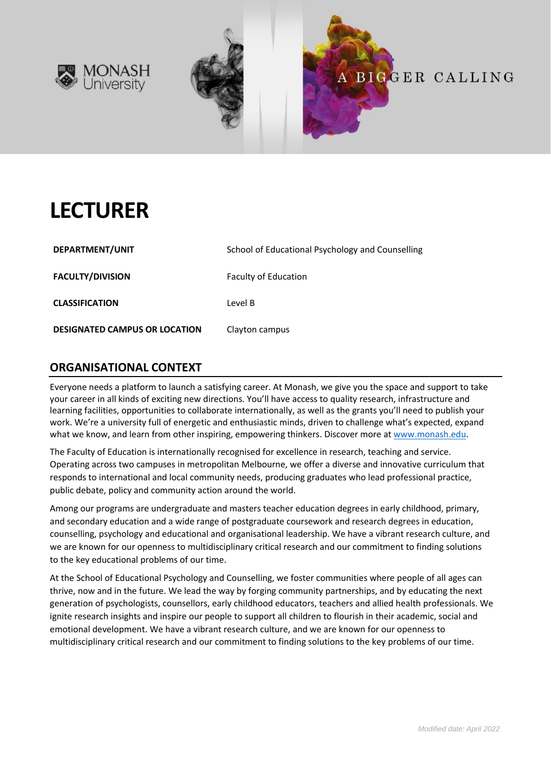



# **LECTURER**

| DEPARTMENT/UNIT                      | School of Educational Psychology and Counselling |
|--------------------------------------|--------------------------------------------------|
| <b>FACULTY/DIVISION</b>              | <b>Faculty of Education</b>                      |
| <b>CLASSIFICATION</b>                | Level B                                          |
| <b>DESIGNATED CAMPUS OR LOCATION</b> | Clayton campus                                   |

## **ORGANISATIONAL CONTEXT**

Everyone needs a platform to launch a satisfying career. At Monash, we give you the space and support to take your career in all kinds of exciting new directions. You'll have access to quality research, infrastructure and learning facilities, opportunities to collaborate internationally, as well as the grants you'll need to publish your work. We're a university full of energetic and enthusiastic minds, driven to challenge what's expected, expand what we know, and learn from other inspiring, empowering thinkers. Discover more a[t www.monash.edu.](http://www.monash.edu/)

The Faculty of Education is internationally recognised for excellence in research, teaching and service. Operating across two campuses in metropolitan Melbourne, we offer a diverse and innovative curriculum that responds to international and local community needs, producing graduates who lead professional practice, public debate, policy and community action around the world.

Among our programs are undergraduate and masters teacher education degrees in early childhood, primary, and secondary education and a wide range of postgraduate coursework and research degrees in education, counselling, psychology and educational and organisational leadership. We have a vibrant research culture, and we are known for our openness to multidisciplinary critical research and our commitment to finding solutions to the key educational problems of our time.

At the School of Educational Psychology and Counselling, we foster communities where people of all ages can thrive, now and in the future. We lead the way by forging community partnerships, and by educating the next generation of psychologists, counsellors, early childhood educators, teachers and allied health professionals. We ignite research insights and inspire our people to support all children to flourish in their academic, social and emotional development. We have a vibrant research culture, and we are known for our openness to multidisciplinary critical research and our commitment to finding solutions to the key problems of our time.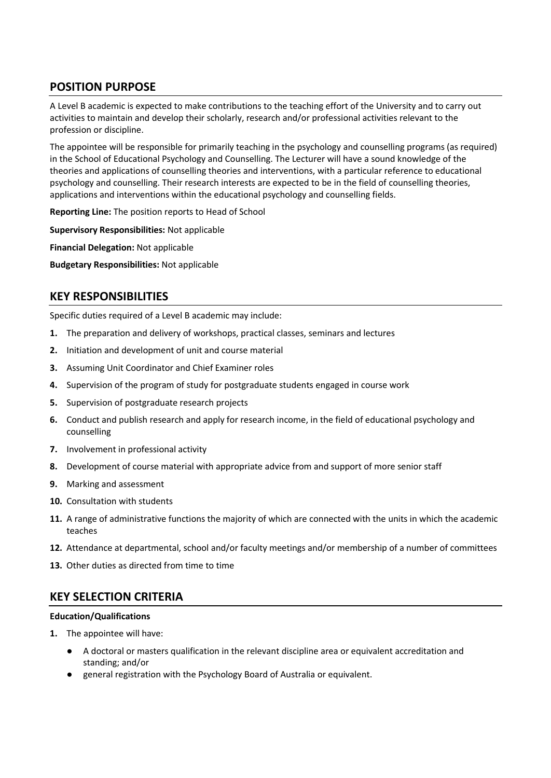# **POSITION PURPOSE**

A Level B academic is expected to make contributions to the teaching effort of the University and to carry out activities to maintain and develop their scholarly, research and/or professional activities relevant to the profession or discipline.

The appointee will be responsible for primarily teaching in the psychology and counselling programs (as required) in the School of Educational Psychology and Counselling. The Lecturer will have a sound knowledge of the theories and applications of counselling theories and interventions, with a particular reference to educational psychology and counselling. Their research interests are expected to be in the field of counselling theories, applications and interventions within the educational psychology and counselling fields.

**Reporting Line:** The position reports to Head of School

**Supervisory Responsibilities:** Not applicable

**Financial Delegation:** Not applicable

**Budgetary Responsibilities:** Not applicable

## **KEY RESPONSIBILITIES**

Specific duties required of a Level B academic may include:

- **1.** The preparation and delivery of workshops, practical classes, seminars and lectures
- **2.** Initiation and development of unit and course material
- **3.** Assuming Unit Coordinator and Chief Examiner roles
- **4.** Supervision of the program of study for postgraduate students engaged in course work
- **5.** Supervision of postgraduate research projects
- **6.** Conduct and publish research and apply for research income, in the field of educational psychology and counselling
- **7.** Involvement in professional activity
- **8.** Development of course material with appropriate advice from and support of more senior staff
- **9.** Marking and assessment
- **10.** Consultation with students
- **11.** A range of administrative functions the majority of which are connected with the units in which the academic teaches
- **12.** Attendance at departmental, school and/or faculty meetings and/or membership of a number of committees
- **13.** Other duties as directed from time to time

## **KEY SELECTION CRITERIA**

#### **Education/Qualifications**

- **1.** The appointee will have:
	- A doctoral or masters qualification in the relevant discipline area or equivalent accreditation and standing; and/or
	- general registration with the Psychology Board of Australia or equivalent.